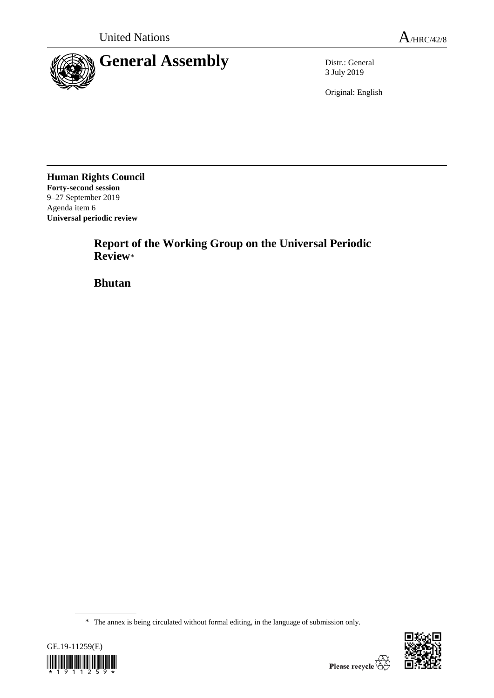

3 July 2019

Original: English

**Human Rights Council Forty-second session** 9–27 September 2019 Agenda item 6 **Universal periodic review**

> **Report of the Working Group on the Universal Periodic Review**\*

**Bhutan**

<sup>\*</sup> The annex is being circulated without formal editing, in the language of submission only.



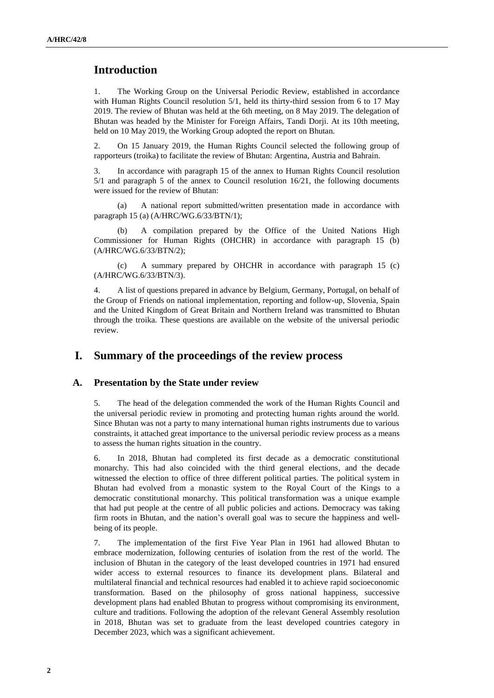# **Introduction**

1. The Working Group on the Universal Periodic Review, established in accordance with Human Rights Council resolution 5/1, held its thirty-third session from 6 to 17 May 2019. The review of Bhutan was held at the 6th meeting, on 8 May 2019. The delegation of Bhutan was headed by the Minister for Foreign Affairs, Tandi Dorji. At its 10th meeting, held on 10 May 2019, the Working Group adopted the report on Bhutan.

2. On 15 January 2019, the Human Rights Council selected the following group of rapporteurs (troika) to facilitate the review of Bhutan: Argentina, Austria and Bahrain.

3. In accordance with paragraph 15 of the annex to Human Rights Council resolution 5/1 and paragraph 5 of the annex to Council resolution 16/21, the following documents were issued for the review of Bhutan:

(a) A national report submitted/written presentation made in accordance with paragraph 15 (a) (A/HRC/WG.6/33/BTN/1);

(b) A compilation prepared by the Office of the United Nations High Commissioner for Human Rights (OHCHR) in accordance with paragraph 15 (b) (A/HRC/WG.6/33/BTN/2);

(c) A summary prepared by OHCHR in accordance with paragraph 15 (c) (A/HRC/WG.6/33/BTN/3).

4. A list of questions prepared in advance by Belgium, Germany, Portugal, on behalf of the Group of Friends on national implementation, reporting and follow-up, Slovenia, Spain and the United Kingdom of Great Britain and Northern Ireland was transmitted to Bhutan through the troika. These questions are available on the website of the universal periodic review.

# **I. Summary of the proceedings of the review process**

#### **A. Presentation by the State under review**

5. The head of the delegation commended the work of the Human Rights Council and the universal periodic review in promoting and protecting human rights around the world. Since Bhutan was not a party to many international human rights instruments due to various constraints, it attached great importance to the universal periodic review process as a means to assess the human rights situation in the country.

6. In 2018, Bhutan had completed its first decade as a democratic constitutional monarchy. This had also coincided with the third general elections, and the decade witnessed the election to office of three different political parties. The political system in Bhutan had evolved from a monastic system to the Royal Court of the Kings to a democratic constitutional monarchy. This political transformation was a unique example that had put people at the centre of all public policies and actions. Democracy was taking firm roots in Bhutan, and the nation's overall goal was to secure the happiness and wellbeing of its people.

7. The implementation of the first Five Year Plan in 1961 had allowed Bhutan to embrace modernization, following centuries of isolation from the rest of the world. The inclusion of Bhutan in the category of the least developed countries in 1971 had ensured wider access to external resources to finance its development plans. Bilateral and multilateral financial and technical resources had enabled it to achieve rapid socioeconomic transformation. Based on the philosophy of gross national happiness, successive development plans had enabled Bhutan to progress without compromising its environment, culture and traditions. Following the adoption of the relevant General Assembly resolution in 2018, Bhutan was set to graduate from the least developed countries category in December 2023, which was a significant achievement.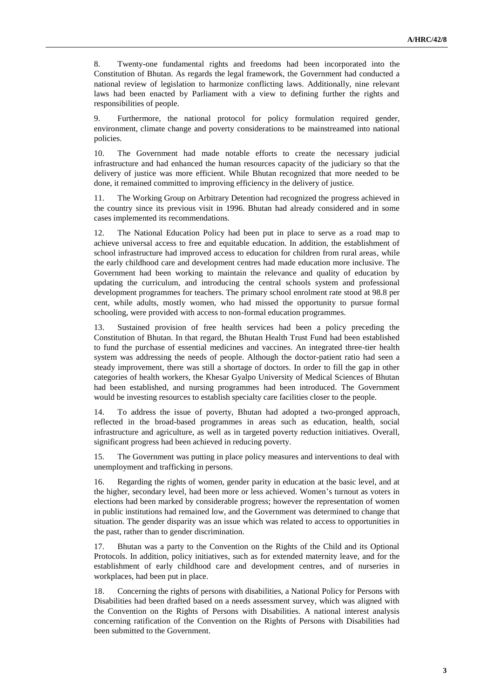8. Twenty-one fundamental rights and freedoms had been incorporated into the Constitution of Bhutan. As regards the legal framework, the Government had conducted a national review of legislation to harmonize conflicting laws. Additionally, nine relevant laws had been enacted by Parliament with a view to defining further the rights and responsibilities of people.

9. Furthermore, the national protocol for policy formulation required gender, environment, climate change and poverty considerations to be mainstreamed into national policies.

10. The Government had made notable efforts to create the necessary judicial infrastructure and had enhanced the human resources capacity of the judiciary so that the delivery of justice was more efficient. While Bhutan recognized that more needed to be done, it remained committed to improving efficiency in the delivery of justice.

11. The Working Group on Arbitrary Detention had recognized the progress achieved in the country since its previous visit in 1996. Bhutan had already considered and in some cases implemented its recommendations.

12. The National Education Policy had been put in place to serve as a road map to achieve universal access to free and equitable education. In addition, the establishment of school infrastructure had improved access to education for children from rural areas, while the early childhood care and development centres had made education more inclusive. The Government had been working to maintain the relevance and quality of education by updating the curriculum, and introducing the central schools system and professional development programmes for teachers. The primary school enrolment rate stood at 98.8 per cent, while adults, mostly women, who had missed the opportunity to pursue formal schooling, were provided with access to non-formal education programmes.

13. Sustained provision of free health services had been a policy preceding the Constitution of Bhutan. In that regard, the Bhutan Health Trust Fund had been established to fund the purchase of essential medicines and vaccines. An integrated three-tier health system was addressing the needs of people. Although the doctor-patient ratio had seen a steady improvement, there was still a shortage of doctors. In order to fill the gap in other categories of health workers, the Khesar Gyalpo University of Medical Sciences of Bhutan had been established, and nursing programmes had been introduced. The Government would be investing resources to establish specialty care facilities closer to the people.

14. To address the issue of poverty, Bhutan had adopted a two-pronged approach, reflected in the broad-based programmes in areas such as education, health, social infrastructure and agriculture, as well as in targeted poverty reduction initiatives. Overall, significant progress had been achieved in reducing poverty.

15. The Government was putting in place policy measures and interventions to deal with unemployment and trafficking in persons.

16. Regarding the rights of women, gender parity in education at the basic level, and at the higher, secondary level, had been more or less achieved. Women's turnout as voters in elections had been marked by considerable progress; however the representation of women in public institutions had remained low, and the Government was determined to change that situation. The gender disparity was an issue which was related to access to opportunities in the past, rather than to gender discrimination.

17. Bhutan was a party to the Convention on the Rights of the Child and its Optional Protocols. In addition, policy initiatives, such as for extended maternity leave, and for the establishment of early childhood care and development centres, and of nurseries in workplaces, had been put in place.

18. Concerning the rights of persons with disabilities, a National Policy for Persons with Disabilities had been drafted based on a needs assessment survey, which was aligned with the Convention on the Rights of Persons with Disabilities. A national interest analysis concerning ratification of the Convention on the Rights of Persons with Disabilities had been submitted to the Government.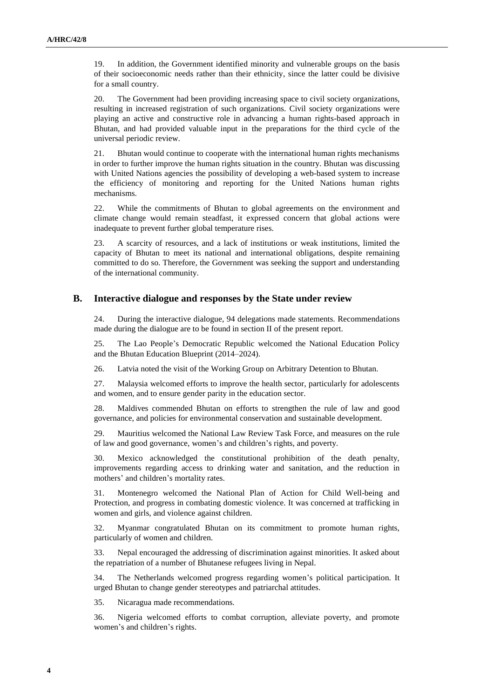19. In addition, the Government identified minority and vulnerable groups on the basis of their socioeconomic needs rather than their ethnicity, since the latter could be divisive for a small country.

20. The Government had been providing increasing space to civil society organizations, resulting in increased registration of such organizations. Civil society organizations were playing an active and constructive role in advancing a human rights-based approach in Bhutan, and had provided valuable input in the preparations for the third cycle of the universal periodic review.

21. Bhutan would continue to cooperate with the international human rights mechanisms in order to further improve the human rights situation in the country. Bhutan was discussing with United Nations agencies the possibility of developing a web-based system to increase the efficiency of monitoring and reporting for the United Nations human rights mechanisms.

22. While the commitments of Bhutan to global agreements on the environment and climate change would remain steadfast, it expressed concern that global actions were inadequate to prevent further global temperature rises.

23. A scarcity of resources, and a lack of institutions or weak institutions, limited the capacity of Bhutan to meet its national and international obligations, despite remaining committed to do so. Therefore, the Government was seeking the support and understanding of the international community.

#### **B. Interactive dialogue and responses by the State under review**

24. During the interactive dialogue, 94 delegations made statements. Recommendations made during the dialogue are to be found in section II of the present report.

25. The Lao People's Democratic Republic welcomed the National Education Policy and the Bhutan Education Blueprint (2014–2024).

26. Latvia noted the visit of the Working Group on Arbitrary Detention to Bhutan.

27. Malaysia welcomed efforts to improve the health sector, particularly for adolescents and women, and to ensure gender parity in the education sector.

28. Maldives commended Bhutan on efforts to strengthen the rule of law and good governance, and policies for environmental conservation and sustainable development.

29. Mauritius welcomed the National Law Review Task Force, and measures on the rule of law and good governance, women's and children's rights, and poverty.

30. Mexico acknowledged the constitutional prohibition of the death penalty, improvements regarding access to drinking water and sanitation, and the reduction in mothers' and children's mortality rates.

31. Montenegro welcomed the National Plan of Action for Child Well-being and Protection, and progress in combating domestic violence. It was concerned at trafficking in women and girls, and violence against children.

32. Myanmar congratulated Bhutan on its commitment to promote human rights, particularly of women and children.

33. Nepal encouraged the addressing of discrimination against minorities. It asked about the repatriation of a number of Bhutanese refugees living in Nepal.

34. The Netherlands welcomed progress regarding women's political participation. It urged Bhutan to change gender stereotypes and patriarchal attitudes.

35. Nicaragua made recommendations.

36. Nigeria welcomed efforts to combat corruption, alleviate poverty, and promote women's and children's rights.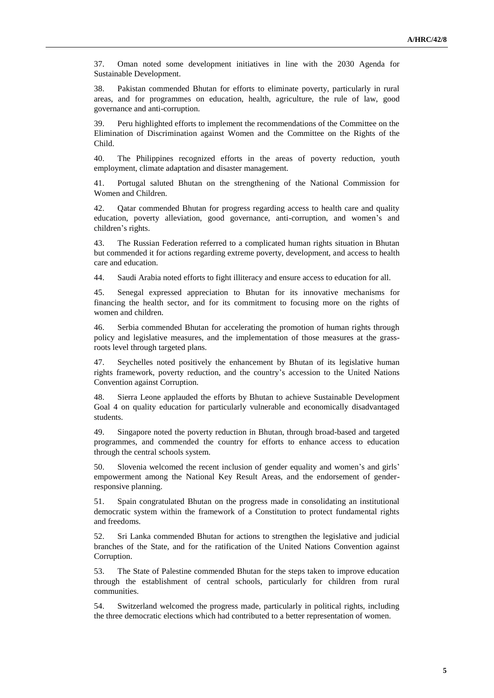37. Oman noted some development initiatives in line with the 2030 Agenda for Sustainable Development.

38. Pakistan commended Bhutan for efforts to eliminate poverty, particularly in rural areas, and for programmes on education, health, agriculture, the rule of law, good governance and anti-corruption.

39. Peru highlighted efforts to implement the recommendations of the Committee on the Elimination of Discrimination against Women and the Committee on the Rights of the Child.

40. The Philippines recognized efforts in the areas of poverty reduction, youth employment, climate adaptation and disaster management.

41. Portugal saluted Bhutan on the strengthening of the National Commission for Women and Children.

42. Qatar commended Bhutan for progress regarding access to health care and quality education, poverty alleviation, good governance, anti-corruption, and women's and children's rights.

43. The Russian Federation referred to a complicated human rights situation in Bhutan but commended it for actions regarding extreme poverty, development, and access to health care and education.

44. Saudi Arabia noted efforts to fight illiteracy and ensure access to education for all.

45. Senegal expressed appreciation to Bhutan for its innovative mechanisms for financing the health sector, and for its commitment to focusing more on the rights of women and children.

46. Serbia commended Bhutan for accelerating the promotion of human rights through policy and legislative measures, and the implementation of those measures at the grassroots level through targeted plans.

47. Seychelles noted positively the enhancement by Bhutan of its legislative human rights framework, poverty reduction, and the country's accession to the United Nations Convention against Corruption.

48. Sierra Leone applauded the efforts by Bhutan to achieve Sustainable Development Goal 4 on quality education for particularly vulnerable and economically disadvantaged students.

49. Singapore noted the poverty reduction in Bhutan, through broad-based and targeted programmes, and commended the country for efforts to enhance access to education through the central schools system.

50. Slovenia welcomed the recent inclusion of gender equality and women's and girls' empowerment among the National Key Result Areas, and the endorsement of genderresponsive planning.

51. Spain congratulated Bhutan on the progress made in consolidating an institutional democratic system within the framework of a Constitution to protect fundamental rights and freedoms.

52. Sri Lanka commended Bhutan for actions to strengthen the legislative and judicial branches of the State, and for the ratification of the United Nations Convention against Corruption.

53. The State of Palestine commended Bhutan for the steps taken to improve education through the establishment of central schools, particularly for children from rural communities.

54. Switzerland welcomed the progress made, particularly in political rights, including the three democratic elections which had contributed to a better representation of women.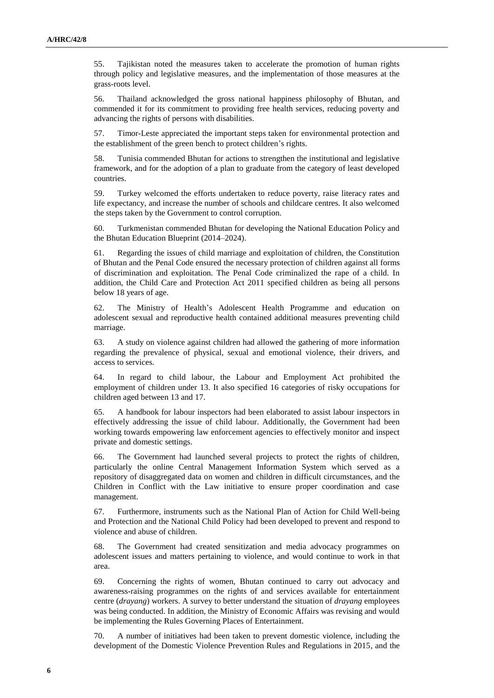55. Tajikistan noted the measures taken to accelerate the promotion of human rights through policy and legislative measures, and the implementation of those measures at the grass-roots level.

56. Thailand acknowledged the gross national happiness philosophy of Bhutan, and commended it for its commitment to providing free health services, reducing poverty and advancing the rights of persons with disabilities.

57. Timor-Leste appreciated the important steps taken for environmental protection and the establishment of the green bench to protect children's rights.

58. Tunisia commended Bhutan for actions to strengthen the institutional and legislative framework, and for the adoption of a plan to graduate from the category of least developed countries.

59. Turkey welcomed the efforts undertaken to reduce poverty, raise literacy rates and life expectancy, and increase the number of schools and childcare centres. It also welcomed the steps taken by the Government to control corruption.

60. Turkmenistan commended Bhutan for developing the National Education Policy and the Bhutan Education Blueprint (2014–2024).

61. Regarding the issues of child marriage and exploitation of children, the Constitution of Bhutan and the Penal Code ensured the necessary protection of children against all forms of discrimination and exploitation. The Penal Code criminalized the rape of a child. In addition, the Child Care and Protection Act 2011 specified children as being all persons below 18 years of age.

62. The Ministry of Health's Adolescent Health Programme and education on adolescent sexual and reproductive health contained additional measures preventing child marriage.

63. A study on violence against children had allowed the gathering of more information regarding the prevalence of physical, sexual and emotional violence, their drivers, and access to services.

64. In regard to child labour, the Labour and Employment Act prohibited the employment of children under 13. It also specified 16 categories of risky occupations for children aged between 13 and 17.

65. A handbook for labour inspectors had been elaborated to assist labour inspectors in effectively addressing the issue of child labour. Additionally, the Government had been working towards empowering law enforcement agencies to effectively monitor and inspect private and domestic settings.

66. The Government had launched several projects to protect the rights of children, particularly the online Central Management Information System which served as a repository of disaggregated data on women and children in difficult circumstances, and the Children in Conflict with the Law initiative to ensure proper coordination and case management.

67. Furthermore, instruments such as the National Plan of Action for Child Well-being and Protection and the National Child Policy had been developed to prevent and respond to violence and abuse of children.

68. The Government had created sensitization and media advocacy programmes on adolescent issues and matters pertaining to violence, and would continue to work in that area.

69. Concerning the rights of women, Bhutan continued to carry out advocacy and awareness-raising programmes on the rights of and services available for entertainment centre (*drayang*) workers. A survey to better understand the situation of *drayang* employees was being conducted. In addition, the Ministry of Economic Affairs was revising and would be implementing the Rules Governing Places of Entertainment.

70. A number of initiatives had been taken to prevent domestic violence, including the development of the Domestic Violence Prevention Rules and Regulations in 2015, and the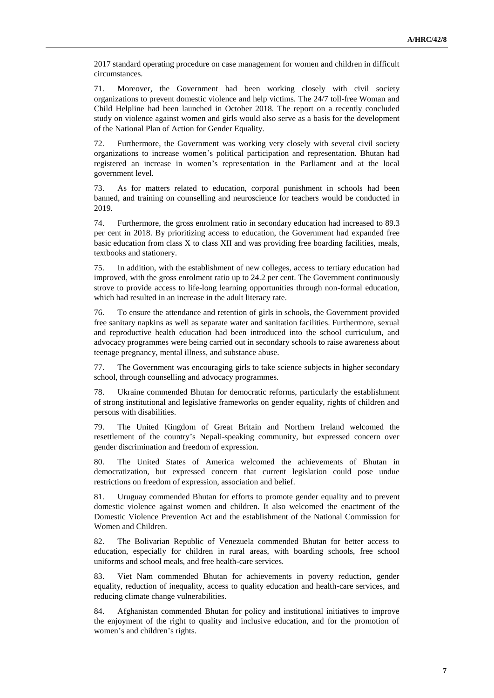2017 standard operating procedure on case management for women and children in difficult circumstances.

71. Moreover, the Government had been working closely with civil society organizations to prevent domestic violence and help victims. The 24/7 toll-free Woman and Child Helpline had been launched in October 2018. The report on a recently concluded study on violence against women and girls would also serve as a basis for the development of the National Plan of Action for Gender Equality.

72. Furthermore, the Government was working very closely with several civil society organizations to increase women's political participation and representation. Bhutan had registered an increase in women's representation in the Parliament and at the local government level.

73. As for matters related to education, corporal punishment in schools had been banned, and training on counselling and neuroscience for teachers would be conducted in 2019.

74. Furthermore, the gross enrolment ratio in secondary education had increased to 89.3 per cent in 2018. By prioritizing access to education, the Government had expanded free basic education from class X to class XII and was providing free boarding facilities, meals, textbooks and stationery.

75. In addition, with the establishment of new colleges, access to tertiary education had improved, with the gross enrolment ratio up to 24.2 per cent. The Government continuously strove to provide access to life-long learning opportunities through non-formal education, which had resulted in an increase in the adult literacy rate.

76. To ensure the attendance and retention of girls in schools, the Government provided free sanitary napkins as well as separate water and sanitation facilities. Furthermore, sexual and reproductive health education had been introduced into the school curriculum, and advocacy programmes were being carried out in secondary schools to raise awareness about teenage pregnancy, mental illness, and substance abuse.

77. The Government was encouraging girls to take science subjects in higher secondary school, through counselling and advocacy programmes.

78. Ukraine commended Bhutan for democratic reforms, particularly the establishment of strong institutional and legislative frameworks on gender equality, rights of children and persons with disabilities.

79. The United Kingdom of Great Britain and Northern Ireland welcomed the resettlement of the country's Nepali-speaking community, but expressed concern over gender discrimination and freedom of expression.

80. The United States of America welcomed the achievements of Bhutan in democratization, but expressed concern that current legislation could pose undue restrictions on freedom of expression, association and belief.

81. Uruguay commended Bhutan for efforts to promote gender equality and to prevent domestic violence against women and children. It also welcomed the enactment of the Domestic Violence Prevention Act and the establishment of the National Commission for Women and Children.

82. The Bolivarian Republic of Venezuela commended Bhutan for better access to education, especially for children in rural areas, with boarding schools, free school uniforms and school meals, and free health-care services.

83. Viet Nam commended Bhutan for achievements in poverty reduction, gender equality, reduction of inequality, access to quality education and health-care services, and reducing climate change vulnerabilities.

84. Afghanistan commended Bhutan for policy and institutional initiatives to improve the enjoyment of the right to quality and inclusive education, and for the promotion of women's and children's rights.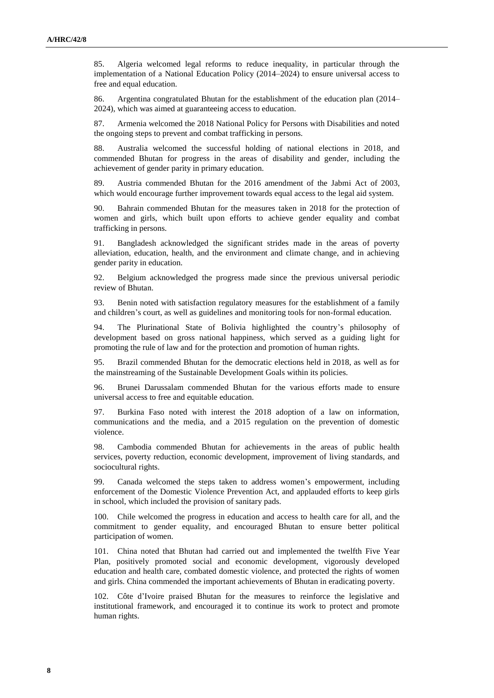85. Algeria welcomed legal reforms to reduce inequality, in particular through the implementation of a National Education Policy (2014–2024) to ensure universal access to free and equal education.

86. Argentina congratulated Bhutan for the establishment of the education plan (2014– 2024), which was aimed at guaranteeing access to education.

87. Armenia welcomed the 2018 National Policy for Persons with Disabilities and noted the ongoing steps to prevent and combat trafficking in persons.

88. Australia welcomed the successful holding of national elections in 2018, and commended Bhutan for progress in the areas of disability and gender, including the achievement of gender parity in primary education.

89. Austria commended Bhutan for the 2016 amendment of the Jabmi Act of 2003, which would encourage further improvement towards equal access to the legal aid system.

90. Bahrain commended Bhutan for the measures taken in 2018 for the protection of women and girls, which built upon efforts to achieve gender equality and combat trafficking in persons.

91. Bangladesh acknowledged the significant strides made in the areas of poverty alleviation, education, health, and the environment and climate change, and in achieving gender parity in education.

92. Belgium acknowledged the progress made since the previous universal periodic review of Bhutan.

93. Benin noted with satisfaction regulatory measures for the establishment of a family and children's court, as well as guidelines and monitoring tools for non-formal education.

94. The Plurinational State of Bolivia highlighted the country's philosophy of development based on gross national happiness, which served as a guiding light for promoting the rule of law and for the protection and promotion of human rights.

95. Brazil commended Bhutan for the democratic elections held in 2018, as well as for the mainstreaming of the Sustainable Development Goals within its policies.

96. Brunei Darussalam commended Bhutan for the various efforts made to ensure universal access to free and equitable education.

97. Burkina Faso noted with interest the 2018 adoption of a law on information, communications and the media, and a 2015 regulation on the prevention of domestic violence.

98. Cambodia commended Bhutan for achievements in the areas of public health services, poverty reduction, economic development, improvement of living standards, and sociocultural rights.

99. Canada welcomed the steps taken to address women's empowerment, including enforcement of the Domestic Violence Prevention Act, and applauded efforts to keep girls in school, which included the provision of sanitary pads.

100. Chile welcomed the progress in education and access to health care for all, and the commitment to gender equality, and encouraged Bhutan to ensure better political participation of women.

101. China noted that Bhutan had carried out and implemented the twelfth Five Year Plan, positively promoted social and economic development, vigorously developed education and health care, combated domestic violence, and protected the rights of women and girls. China commended the important achievements of Bhutan in eradicating poverty.

102. Côte d'Ivoire praised Bhutan for the measures to reinforce the legislative and institutional framework, and encouraged it to continue its work to protect and promote human rights.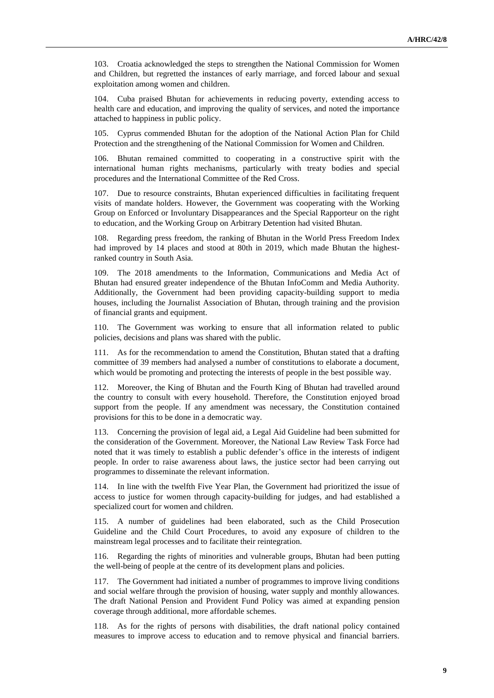103. Croatia acknowledged the steps to strengthen the National Commission for Women and Children, but regretted the instances of early marriage, and forced labour and sexual exploitation among women and children.

104. Cuba praised Bhutan for achievements in reducing poverty, extending access to health care and education, and improving the quality of services, and noted the importance attached to happiness in public policy.

105. Cyprus commended Bhutan for the adoption of the National Action Plan for Child Protection and the strengthening of the National Commission for Women and Children.

106. Bhutan remained committed to cooperating in a constructive spirit with the international human rights mechanisms, particularly with treaty bodies and special procedures and the International Committee of the Red Cross.

107. Due to resource constraints, Bhutan experienced difficulties in facilitating frequent visits of mandate holders. However, the Government was cooperating with the Working Group on Enforced or Involuntary Disappearances and the Special Rapporteur on the right to education, and the Working Group on Arbitrary Detention had visited Bhutan.

108. Regarding press freedom, the ranking of Bhutan in the World Press Freedom Index had improved by 14 places and stood at 80th in 2019, which made Bhutan the highestranked country in South Asia.

109. The 2018 amendments to the Information, Communications and Media Act of Bhutan had ensured greater independence of the Bhutan InfoComm and Media Authority. Additionally, the Government had been providing capacity-building support to media houses, including the Journalist Association of Bhutan, through training and the provision of financial grants and equipment.

110. The Government was working to ensure that all information related to public policies, decisions and plans was shared with the public.

111. As for the recommendation to amend the Constitution, Bhutan stated that a drafting committee of 39 members had analysed a number of constitutions to elaborate a document, which would be promoting and protecting the interests of people in the best possible way.

112. Moreover, the King of Bhutan and the Fourth King of Bhutan had travelled around the country to consult with every household. Therefore, the Constitution enjoyed broad support from the people. If any amendment was necessary, the Constitution contained provisions for this to be done in a democratic way.

113. Concerning the provision of legal aid, a Legal Aid Guideline had been submitted for the consideration of the Government. Moreover, the National Law Review Task Force had noted that it was timely to establish a public defender's office in the interests of indigent people. In order to raise awareness about laws, the justice sector had been carrying out programmes to disseminate the relevant information.

114. In line with the twelfth Five Year Plan, the Government had prioritized the issue of access to justice for women through capacity-building for judges, and had established a specialized court for women and children.

115. A number of guidelines had been elaborated, such as the Child Prosecution Guideline and the Child Court Procedures, to avoid any exposure of children to the mainstream legal processes and to facilitate their reintegration.

116. Regarding the rights of minorities and vulnerable groups, Bhutan had been putting the well-being of people at the centre of its development plans and policies.

117. The Government had initiated a number of programmes to improve living conditions and social welfare through the provision of housing, water supply and monthly allowances. The draft National Pension and Provident Fund Policy was aimed at expanding pension coverage through additional, more affordable schemes.

118. As for the rights of persons with disabilities, the draft national policy contained measures to improve access to education and to remove physical and financial barriers.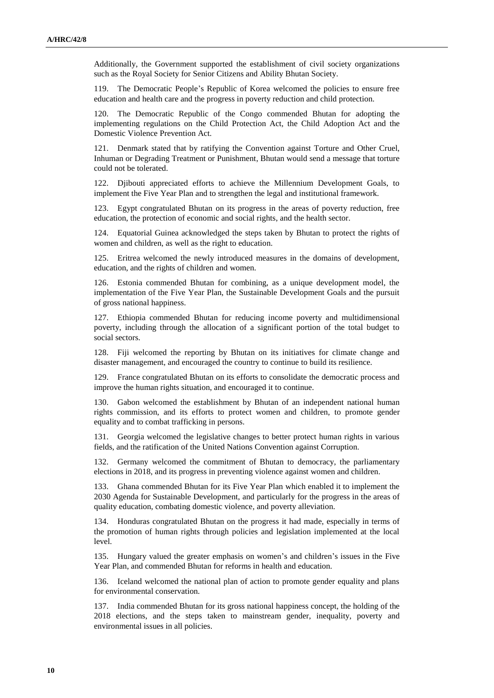Additionally, the Government supported the establishment of civil society organizations such as the Royal Society for Senior Citizens and Ability Bhutan Society.

119. The Democratic People's Republic of Korea welcomed the policies to ensure free education and health care and the progress in poverty reduction and child protection.

120. The Democratic Republic of the Congo commended Bhutan for adopting the implementing regulations on the Child Protection Act, the Child Adoption Act and the Domestic Violence Prevention Act.

121. Denmark stated that by ratifying the Convention against Torture and Other Cruel, Inhuman or Degrading Treatment or Punishment, Bhutan would send a message that torture could not be tolerated.

122. Djibouti appreciated efforts to achieve the Millennium Development Goals, to implement the Five Year Plan and to strengthen the legal and institutional framework.

123. Egypt congratulated Bhutan on its progress in the areas of poverty reduction, free education, the protection of economic and social rights, and the health sector.

124. Equatorial Guinea acknowledged the steps taken by Bhutan to protect the rights of women and children, as well as the right to education.

125. Eritrea welcomed the newly introduced measures in the domains of development, education, and the rights of children and women.

126. Estonia commended Bhutan for combining, as a unique development model, the implementation of the Five Year Plan, the Sustainable Development Goals and the pursuit of gross national happiness.

127. Ethiopia commended Bhutan for reducing income poverty and multidimensional poverty, including through the allocation of a significant portion of the total budget to social sectors.

128. Fiji welcomed the reporting by Bhutan on its initiatives for climate change and disaster management, and encouraged the country to continue to build its resilience.

129. France congratulated Bhutan on its efforts to consolidate the democratic process and improve the human rights situation, and encouraged it to continue.

130. Gabon welcomed the establishment by Bhutan of an independent national human rights commission, and its efforts to protect women and children, to promote gender equality and to combat trafficking in persons.

131. Georgia welcomed the legislative changes to better protect human rights in various fields, and the ratification of the United Nations Convention against Corruption.

132. Germany welcomed the commitment of Bhutan to democracy, the parliamentary elections in 2018, and its progress in preventing violence against women and children.

133. Ghana commended Bhutan for its Five Year Plan which enabled it to implement the 2030 Agenda for Sustainable Development, and particularly for the progress in the areas of quality education, combating domestic violence, and poverty alleviation.

134. Honduras congratulated Bhutan on the progress it had made, especially in terms of the promotion of human rights through policies and legislation implemented at the local level.

135. Hungary valued the greater emphasis on women's and children's issues in the Five Year Plan, and commended Bhutan for reforms in health and education.

136. Iceland welcomed the national plan of action to promote gender equality and plans for environmental conservation.

137. India commended Bhutan for its gross national happiness concept, the holding of the 2018 elections, and the steps taken to mainstream gender, inequality, poverty and environmental issues in all policies.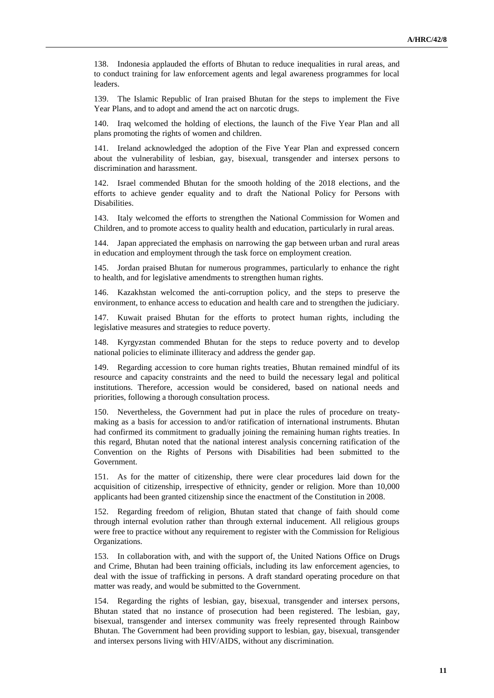138. Indonesia applauded the efforts of Bhutan to reduce inequalities in rural areas, and to conduct training for law enforcement agents and legal awareness programmes for local leaders.

139. The Islamic Republic of Iran praised Bhutan for the steps to implement the Five Year Plans, and to adopt and amend the act on narcotic drugs.

140. Iraq welcomed the holding of elections, the launch of the Five Year Plan and all plans promoting the rights of women and children.

141. Ireland acknowledged the adoption of the Five Year Plan and expressed concern about the vulnerability of lesbian, gay, bisexual, transgender and intersex persons to discrimination and harassment.

142. Israel commended Bhutan for the smooth holding of the 2018 elections, and the efforts to achieve gender equality and to draft the National Policy for Persons with Disabilities.

143. Italy welcomed the efforts to strengthen the National Commission for Women and Children, and to promote access to quality health and education, particularly in rural areas.

144. Japan appreciated the emphasis on narrowing the gap between urban and rural areas in education and employment through the task force on employment creation.

145. Jordan praised Bhutan for numerous programmes, particularly to enhance the right to health, and for legislative amendments to strengthen human rights.

Kazakhstan welcomed the anti-corruption policy, and the steps to preserve the environment, to enhance access to education and health care and to strengthen the judiciary.

147. Kuwait praised Bhutan for the efforts to protect human rights, including the legislative measures and strategies to reduce poverty.

148. Kyrgyzstan commended Bhutan for the steps to reduce poverty and to develop national policies to eliminate illiteracy and address the gender gap.

149. Regarding accession to core human rights treaties, Bhutan remained mindful of its resource and capacity constraints and the need to build the necessary legal and political institutions. Therefore, accession would be considered, based on national needs and priorities, following a thorough consultation process.

150. Nevertheless, the Government had put in place the rules of procedure on treatymaking as a basis for accession to and/or ratification of international instruments. Bhutan had confirmed its commitment to gradually joining the remaining human rights treaties. In this regard, Bhutan noted that the national interest analysis concerning ratification of the Convention on the Rights of Persons with Disabilities had been submitted to the Government.

151. As for the matter of citizenship, there were clear procedures laid down for the acquisition of citizenship, irrespective of ethnicity, gender or religion. More than 10,000 applicants had been granted citizenship since the enactment of the Constitution in 2008.

152. Regarding freedom of religion, Bhutan stated that change of faith should come through internal evolution rather than through external inducement. All religious groups were free to practice without any requirement to register with the Commission for Religious Organizations.

153. In collaboration with, and with the support of, the United Nations Office on Drugs and Crime, Bhutan had been training officials, including its law enforcement agencies, to deal with the issue of trafficking in persons. A draft standard operating procedure on that matter was ready, and would be submitted to the Government.

154. Regarding the rights of lesbian, gay, bisexual, transgender and intersex persons, Bhutan stated that no instance of prosecution had been registered. The lesbian, gay, bisexual, transgender and intersex community was freely represented through Rainbow Bhutan. The Government had been providing support to lesbian, gay, bisexual, transgender and intersex persons living with HIV/AIDS, without any discrimination.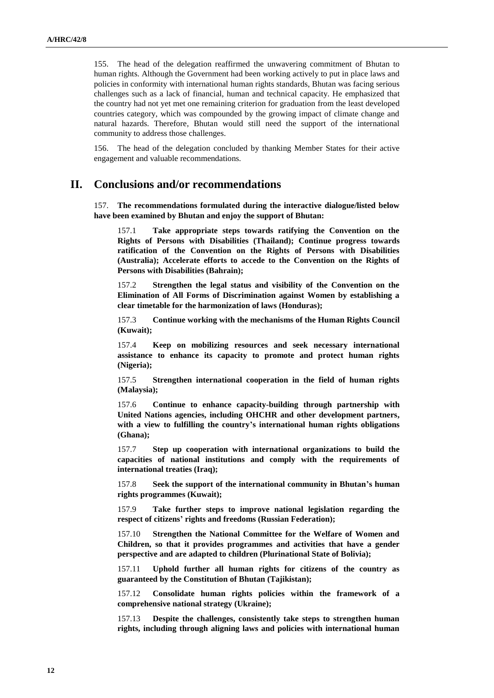155. The head of the delegation reaffirmed the unwavering commitment of Bhutan to human rights. Although the Government had been working actively to put in place laws and policies in conformity with international human rights standards, Bhutan was facing serious challenges such as a lack of financial, human and technical capacity. He emphasized that the country had not yet met one remaining criterion for graduation from the least developed countries category, which was compounded by the growing impact of climate change and natural hazards. Therefore, Bhutan would still need the support of the international community to address those challenges.

156. The head of the delegation concluded by thanking Member States for their active engagement and valuable recommendations.

## **II. Conclusions and/or recommendations**

157. **The recommendations formulated during the interactive dialogue/listed below have been examined by Bhutan and enjoy the support of Bhutan:**

157.1 **Take appropriate steps towards ratifying the Convention on the Rights of Persons with Disabilities (Thailand); Continue progress towards ratification of the Convention on the Rights of Persons with Disabilities (Australia); Accelerate efforts to accede to the Convention on the Rights of Persons with Disabilities (Bahrain);**

157.2 **Strengthen the legal status and visibility of the Convention on the Elimination of All Forms of Discrimination against Women by establishing a clear timetable for the harmonization of laws (Honduras);**

157.3 **Continue working with the mechanisms of the Human Rights Council (Kuwait);**

157.4 **Keep on mobilizing resources and seek necessary international assistance to enhance its capacity to promote and protect human rights (Nigeria);**

157.5 **Strengthen international cooperation in the field of human rights (Malaysia);**

157.6 **Continue to enhance capacity-building through partnership with United Nations agencies, including OHCHR and other development partners, with a view to fulfilling the country's international human rights obligations (Ghana);**

157.7 **Step up cooperation with international organizations to build the capacities of national institutions and comply with the requirements of international treaties (Iraq);**

157.8 **Seek the support of the international community in Bhutan's human rights programmes (Kuwait);**

157.9 **Take further steps to improve national legislation regarding the respect of citizens' rights and freedoms (Russian Federation);**

157.10 **Strengthen the National Committee for the Welfare of Women and Children, so that it provides programmes and activities that have a gender perspective and are adapted to children (Plurinational State of Bolivia);**

157.11 **Uphold further all human rights for citizens of the country as guaranteed by the Constitution of Bhutan (Tajikistan);**

157.12 **Consolidate human rights policies within the framework of a comprehensive national strategy (Ukraine);**

157.13 **Despite the challenges, consistently take steps to strengthen human rights, including through aligning laws and policies with international human**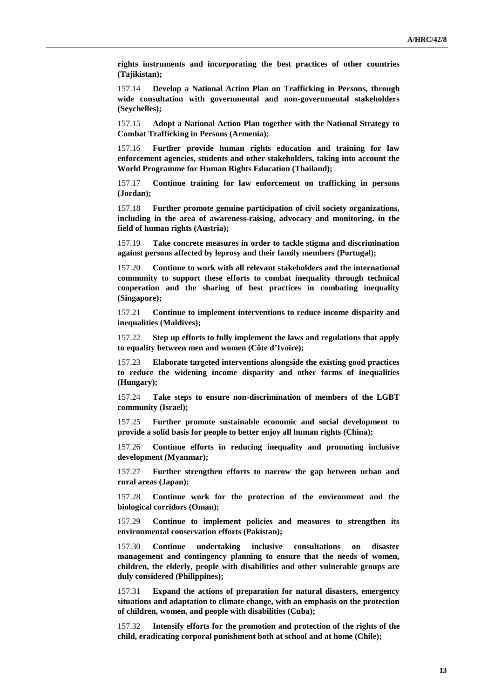**rights instruments and incorporating the best practices of other countries (Tajikistan);**

157.14 **Develop a National Action Plan on Trafficking in Persons, through wide consultation with governmental and non-governmental stakeholders (Seychelles);**

157.15 **Adopt a National Action Plan together with the National Strategy to Combat Trafficking in Persons (Armenia);**

157.16 **Further provide human rights education and training for law enforcement agencies, students and other stakeholders, taking into account the World Programme for Human Rights Education (Thailand);**

157.17 **Continue training for law enforcement on trafficking in persons (Jordan);**

157.18 **Further promote genuine participation of civil society organizations, including in the area of awareness-raising, advocacy and monitoring, in the field of human rights (Austria);**

157.19 **Take concrete measures in order to tackle stigma and discrimination against persons affected by leprosy and their family members (Portugal);**

157.20 **Continue to work with all relevant stakeholders and the international community to support these efforts to combat inequality through technical cooperation and the sharing of best practices in combating inequality (Singapore);**

157.21 **Continue to implement interventions to reduce income disparity and inequalities (Maldives);**

157.22 **Step up efforts to fully implement the laws and regulations that apply to equality between men and women (Côte d'Ivoire);**

157.23 **Elaborate targeted interventions alongside the existing good practices to reduce the widening income disparity and other forms of inequalities (Hungary);**

157.24 **Take steps to ensure non-discrimination of members of the LGBT community (Israel);**

157.25 **Further promote sustainable economic and social development to provide a solid basis for people to better enjoy all human rights (China);**

157.26 **Continue efforts in reducing inequality and promoting inclusive development (Myanmar);**

157.27 **Further strengthen efforts to narrow the gap between urban and rural areas (Japan);**

157.28 **Continue work for the protection of the environment and the biological corridors (Oman);**

157.29 **Continue to implement policies and measures to strengthen its environmental conservation efforts (Pakistan);**

157.30 **Continue undertaking inclusive consultations on disaster management and contingency planning to ensure that the needs of women, children, the elderly, people with disabilities and other vulnerable groups are duly considered (Philippines);**

157.31 **Expand the actions of preparation for natural disasters, emergency situations and adaptation to climate change, with an emphasis on the protection of children, women, and people with disabilities (Cuba);**

157.32 **Intensify efforts for the promotion and protection of the rights of the child, eradicating corporal punishment both at school and at home (Chile);**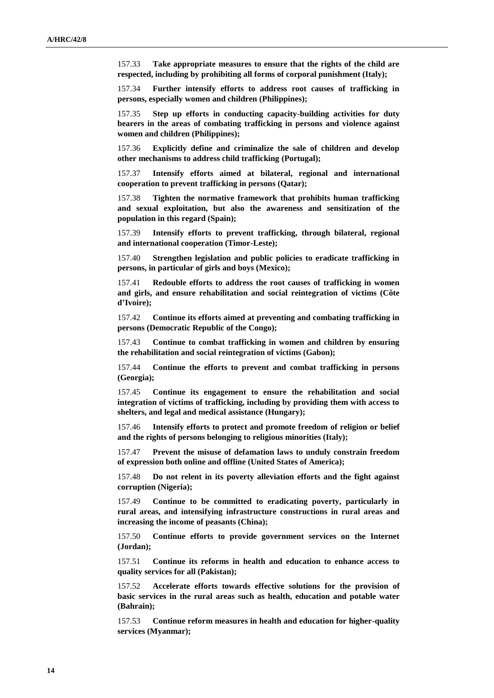157.33 **Take appropriate measures to ensure that the rights of the child are respected, including by prohibiting all forms of corporal punishment (Italy);**

157.34 **Further intensify efforts to address root causes of trafficking in persons, especially women and children (Philippines);**

157.35 **Step up efforts in conducting capacity-building activities for duty bearers in the areas of combating trafficking in persons and violence against women and children (Philippines);**

157.36 **Explicitly define and criminalize the sale of children and develop other mechanisms to address child trafficking (Portugal);**

157.37 **Intensify efforts aimed at bilateral, regional and international cooperation to prevent trafficking in persons (Qatar);**

157.38 **Tighten the normative framework that prohibits human trafficking and sexual exploitation, but also the awareness and sensitization of the population in this regard (Spain);**

157.39 **Intensify efforts to prevent trafficking, through bilateral, regional and international cooperation (Timor-Leste);**

157.40 **Strengthen legislation and public policies to eradicate trafficking in persons, in particular of girls and boys (Mexico);**

157.41 **Redouble efforts to address the root causes of trafficking in women and girls, and ensure rehabilitation and social reintegration of victims (Côte d'Ivoire);**

157.42 **Continue its efforts aimed at preventing and combating trafficking in persons (Democratic Republic of the Congo);**

157.43 **Continue to combat trafficking in women and children by ensuring the rehabilitation and social reintegration of victims (Gabon);**

157.44 **Continue the efforts to prevent and combat trafficking in persons (Georgia);**

157.45 **Continue its engagement to ensure the rehabilitation and social integration of victims of trafficking, including by providing them with access to shelters, and legal and medical assistance (Hungary);**

157.46 **Intensify efforts to protect and promote freedom of religion or belief and the rights of persons belonging to religious minorities (Italy);**

157.47 **Prevent the misuse of defamation laws to unduly constrain freedom of expression both online and offline (United States of America);**

157.48 **Do not relent in its poverty alleviation efforts and the fight against corruption (Nigeria);**

157.49 **Continue to be committed to eradicating poverty, particularly in rural areas, and intensifying infrastructure constructions in rural areas and increasing the income of peasants (China);**

157.50 **Continue efforts to provide government services on the Internet (Jordan);**

157.51 **Continue its reforms in health and education to enhance access to quality services for all (Pakistan);**

157.52 **Accelerate efforts towards effective solutions for the provision of basic services in the rural areas such as health, education and potable water (Bahrain);**

157.53 **Continue reform measures in health and education for higher-quality services (Myanmar);**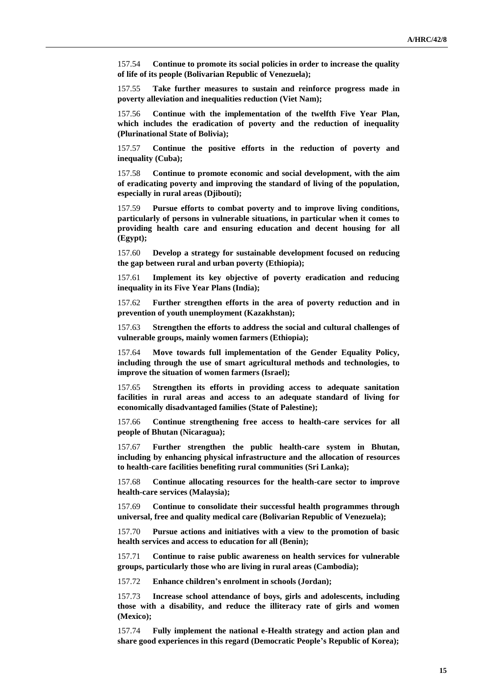157.54 **Continue to promote its social policies in order to increase the quality of life of its people (Bolivarian Republic of Venezuela);**

157.55 **Take further measures to sustain and reinforce progress made in poverty alleviation and inequalities reduction (Viet Nam);**

157.56 **Continue with the implementation of the twelfth Five Year Plan, which includes the eradication of poverty and the reduction of inequality (Plurinational State of Bolivia);**

157.57 **Continue the positive efforts in the reduction of poverty and inequality (Cuba);**

157.58 **Continue to promote economic and social development, with the aim of eradicating poverty and improving the standard of living of the population, especially in rural areas (Djibouti);**

157.59 **Pursue efforts to combat poverty and to improve living conditions, particularly of persons in vulnerable situations, in particular when it comes to providing health care and ensuring education and decent housing for all (Egypt);**

157.60 **Develop a strategy for sustainable development focused on reducing the gap between rural and urban poverty (Ethiopia);**

157.61 **Implement its key objective of poverty eradication and reducing inequality in its Five Year Plans (India);**

157.62 **Further strengthen efforts in the area of poverty reduction and in prevention of youth unemployment (Kazakhstan);**

157.63 **Strengthen the efforts to address the social and cultural challenges of vulnerable groups, mainly women farmers (Ethiopia);**

157.64 **Move towards full implementation of the Gender Equality Policy, including through the use of smart agricultural methods and technologies, to improve the situation of women farmers (Israel);**

157.65 **Strengthen its efforts in providing access to adequate sanitation facilities in rural areas and access to an adequate standard of living for economically disadvantaged families (State of Palestine);**

157.66 **Continue strengthening free access to health-care services for all people of Bhutan (Nicaragua);**

157.67 **Further strengthen the public health-care system in Bhutan, including by enhancing physical infrastructure and the allocation of resources to health-care facilities benefiting rural communities (Sri Lanka);**

157.68 **Continue allocating resources for the health-care sector to improve health-care services (Malaysia);**

157.69 **Continue to consolidate their successful health programmes through universal, free and quality medical care (Bolivarian Republic of Venezuela);**

157.70 **Pursue actions and initiatives with a view to the promotion of basic health services and access to education for all (Benin);**

157.71 **Continue to raise public awareness on health services for vulnerable groups, particularly those who are living in rural areas (Cambodia);**

157.72 **Enhance children's enrolment in schools (Jordan);**

157.73 **Increase school attendance of boys, girls and adolescents, including those with a disability, and reduce the illiteracy rate of girls and women (Mexico);**

157.74 **Fully implement the national e-Health strategy and action plan and share good experiences in this regard (Democratic People's Republic of Korea);**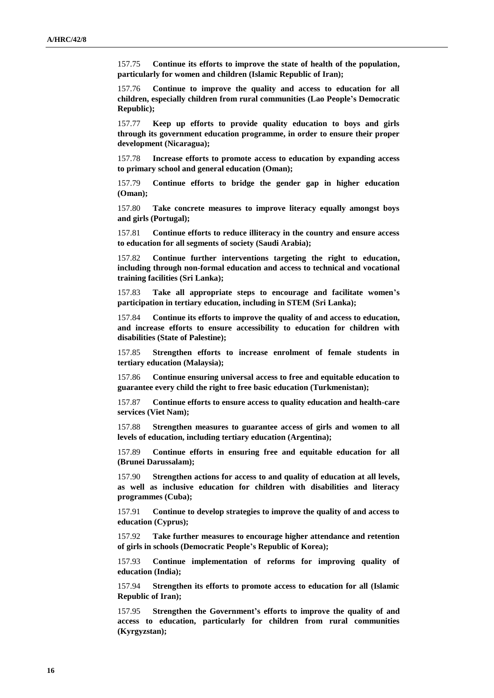157.75 **Continue its efforts to improve the state of health of the population, particularly for women and children (Islamic Republic of Iran);**

157.76 **Continue to improve the quality and access to education for all children, especially children from rural communities (Lao People's Democratic Republic);**

157.77 **Keep up efforts to provide quality education to boys and girls through its government education programme, in order to ensure their proper development (Nicaragua);**

157.78 **Increase efforts to promote access to education by expanding access to primary school and general education (Oman);**

157.79 **Continue efforts to bridge the gender gap in higher education (Oman);**

157.80 **Take concrete measures to improve literacy equally amongst boys and girls (Portugal);**

157.81 **Continue efforts to reduce illiteracy in the country and ensure access to education for all segments of society (Saudi Arabia);**

157.82 **Continue further interventions targeting the right to education, including through non-formal education and access to technical and vocational training facilities (Sri Lanka);**

157.83 **Take all appropriate steps to encourage and facilitate women's participation in tertiary education, including in STEM (Sri Lanka);**

157.84 **Continue its efforts to improve the quality of and access to education, and increase efforts to ensure accessibility to education for children with disabilities (State of Palestine);**

157.85 **Strengthen efforts to increase enrolment of female students in tertiary education (Malaysia);**

157.86 **Continue ensuring universal access to free and equitable education to guarantee every child the right to free basic education (Turkmenistan);**

157.87 **Continue efforts to ensure access to quality education and health-care services (Viet Nam);**

157.88 **Strengthen measures to guarantee access of girls and women to all levels of education, including tertiary education (Argentina);**

157.89 **Continue efforts in ensuring free and equitable education for all (Brunei Darussalam);**

157.90 **Strengthen actions for access to and quality of education at all levels, as well as inclusive education for children with disabilities and literacy programmes (Cuba);**

157.91 **Continue to develop strategies to improve the quality of and access to education (Cyprus);**

157.92 **Take further measures to encourage higher attendance and retention of girls in schools (Democratic People's Republic of Korea);**

157.93 **Continue implementation of reforms for improving quality of education (India);**

157.94 **Strengthen its efforts to promote access to education for all (Islamic Republic of Iran);**

157.95 **Strengthen the Government's efforts to improve the quality of and access to education, particularly for children from rural communities (Kyrgyzstan);**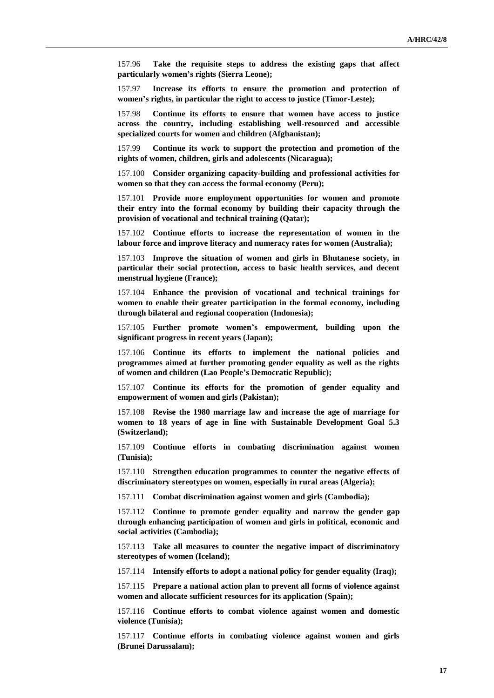157.96 **Take the requisite steps to address the existing gaps that affect particularly women's rights (Sierra Leone);**

157.97 **Increase its efforts to ensure the promotion and protection of women's rights, in particular the right to access to justice (Timor-Leste);**

157.98 **Continue its efforts to ensure that women have access to justice across the country, including establishing well-resourced and accessible specialized courts for women and children (Afghanistan);**

157.99 **Continue its work to support the protection and promotion of the rights of women, children, girls and adolescents (Nicaragua);**

157.100 **Consider organizing capacity-building and professional activities for women so that they can access the formal economy (Peru);**

157.101 **Provide more employment opportunities for women and promote their entry into the formal economy by building their capacity through the provision of vocational and technical training (Qatar);**

157.102 **Continue efforts to increase the representation of women in the labour force and improve literacy and numeracy rates for women (Australia);**

157.103 **Improve the situation of women and girls in Bhutanese society, in particular their social protection, access to basic health services, and decent menstrual hygiene (France);**

157.104 **Enhance the provision of vocational and technical trainings for women to enable their greater participation in the formal economy, including through bilateral and regional cooperation (Indonesia);**

157.105 **Further promote women's empowerment, building upon the significant progress in recent years (Japan);**

157.106 **Continue its efforts to implement the national policies and programmes aimed at further promoting gender equality as well as the rights of women and children (Lao People's Democratic Republic);**

157.107 **Continue its efforts for the promotion of gender equality and empowerment of women and girls (Pakistan);**

157.108 **Revise the 1980 marriage law and increase the age of marriage for women to 18 years of age in line with Sustainable Development Goal 5.3 (Switzerland);**

157.109 **Continue efforts in combating discrimination against women (Tunisia);**

157.110 **Strengthen education programmes to counter the negative effects of discriminatory stereotypes on women, especially in rural areas (Algeria);**

157.111 **Combat discrimination against women and girls (Cambodia);**

157.112 **Continue to promote gender equality and narrow the gender gap through enhancing participation of women and girls in political, economic and social activities (Cambodia);**

157.113 **Take all measures to counter the negative impact of discriminatory stereotypes of women (Iceland);**

157.114 **Intensify efforts to adopt a national policy for gender equality (Iraq);**

157.115 **Prepare a national action plan to prevent all forms of violence against women and allocate sufficient resources for its application (Spain);**

157.116 **Continue efforts to combat violence against women and domestic violence (Tunisia);**

157.117 **Continue efforts in combating violence against women and girls (Brunei Darussalam);**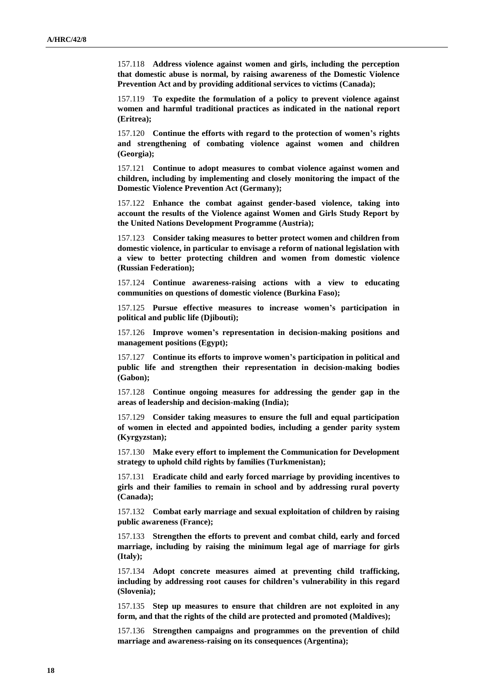157.118 **Address violence against women and girls, including the perception that domestic abuse is normal, by raising awareness of the Domestic Violence Prevention Act and by providing additional services to victims (Canada);**

157.119 **To expedite the formulation of a policy to prevent violence against women and harmful traditional practices as indicated in the national report (Eritrea);**

157.120 **Continue the efforts with regard to the protection of women's rights and strengthening of combating violence against women and children (Georgia);**

157.121 **Continue to adopt measures to combat violence against women and children, including by implementing and closely monitoring the impact of the Domestic Violence Prevention Act (Germany);**

157.122 **Enhance the combat against gender-based violence, taking into account the results of the Violence against Women and Girls Study Report by the United Nations Development Programme (Austria);**

157.123 **Consider taking measures to better protect women and children from domestic violence, in particular to envisage a reform of national legislation with a view to better protecting children and women from domestic violence (Russian Federation);**

157.124 **Continue awareness-raising actions with a view to educating communities on questions of domestic violence (Burkina Faso);**

157.125 **Pursue effective measures to increase women's participation in political and public life (Djibouti);**

157.126 **Improve women's representation in decision-making positions and management positions (Egypt);**

157.127 **Continue its efforts to improve women's participation in political and public life and strengthen their representation in decision-making bodies (Gabon);**

157.128 **Continue ongoing measures for addressing the gender gap in the areas of leadership and decision-making (India);**

157.129 **Consider taking measures to ensure the full and equal participation of women in elected and appointed bodies, including a gender parity system (Kyrgyzstan);**

157.130 **Make every effort to implement the Communication for Development strategy to uphold child rights by families (Turkmenistan);**

157.131 **Eradicate child and early forced marriage by providing incentives to girls and their families to remain in school and by addressing rural poverty (Canada);**

157.132 **Combat early marriage and sexual exploitation of children by raising public awareness (France);**

157.133 **Strengthen the efforts to prevent and combat child, early and forced marriage, including by raising the minimum legal age of marriage for girls (Italy);**

157.134 **Adopt concrete measures aimed at preventing child trafficking, including by addressing root causes for children's vulnerability in this regard (Slovenia);**

157.135 **Step up measures to ensure that children are not exploited in any form, and that the rights of the child are protected and promoted (Maldives);**

157.136 **Strengthen campaigns and programmes on the prevention of child marriage and awareness-raising on its consequences (Argentina);**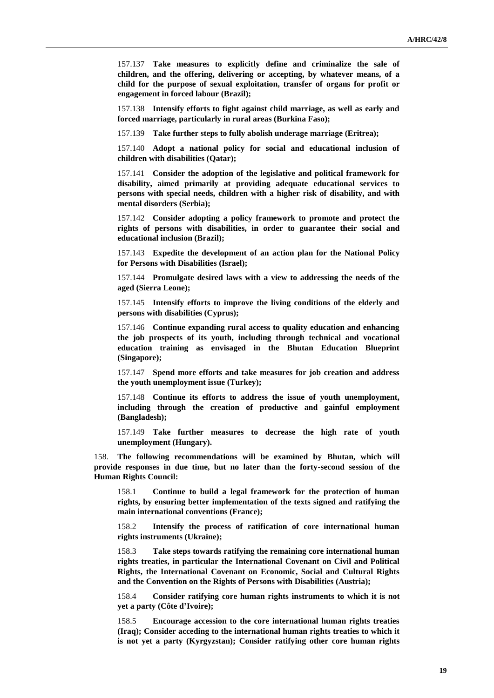157.137 **Take measures to explicitly define and criminalize the sale of children, and the offering, delivering or accepting, by whatever means, of a child for the purpose of sexual exploitation, transfer of organs for profit or engagement in forced labour (Brazil);**

157.138 **Intensify efforts to fight against child marriage, as well as early and forced marriage, particularly in rural areas (Burkina Faso);**

157.139 **Take further steps to fully abolish underage marriage (Eritrea);**

157.140 **Adopt a national policy for social and educational inclusion of children with disabilities (Qatar);**

157.141 **Consider the adoption of the legislative and political framework for disability, aimed primarily at providing adequate educational services to persons with special needs, children with a higher risk of disability, and with mental disorders (Serbia);**

157.142 **Consider adopting a policy framework to promote and protect the rights of persons with disabilities, in order to guarantee their social and educational inclusion (Brazil);**

157.143 **Expedite the development of an action plan for the National Policy for Persons with Disabilities (Israel);**

157.144 **Promulgate desired laws with a view to addressing the needs of the aged (Sierra Leone);**

157.145 **Intensify efforts to improve the living conditions of the elderly and persons with disabilities (Cyprus);**

157.146 **Continue expanding rural access to quality education and enhancing the job prospects of its youth, including through technical and vocational education training as envisaged in the Bhutan Education Blueprint (Singapore);**

157.147 **Spend more efforts and take measures for job creation and address the youth unemployment issue (Turkey);**

157.148 **Continue its efforts to address the issue of youth unemployment, including through the creation of productive and gainful employment (Bangladesh);**

157.149 **Take further measures to decrease the high rate of youth unemployment (Hungary).**

158. **The following recommendations will be examined by Bhutan, which will provide responses in due time, but no later than the forty-second session of the Human Rights Council:**

158.1 **Continue to build a legal framework for the protection of human rights, by ensuring better implementation of the texts signed and ratifying the main international conventions (France);**

158.2 **Intensify the process of ratification of core international human rights instruments (Ukraine);**

158.3 **Take steps towards ratifying the remaining core international human rights treaties, in particular the International Covenant on Civil and Political Rights, the International Covenant on Economic, Social and Cultural Rights and the Convention on the Rights of Persons with Disabilities (Austria);**

158.4 **Consider ratifying core human rights instruments to which it is not yet a party (Côte d'Ivoire);**

158.5 **Encourage accession to the core international human rights treaties (Iraq); Consider acceding to the international human rights treaties to which it is not yet a party (Kyrgyzstan); Consider ratifying other core human rights**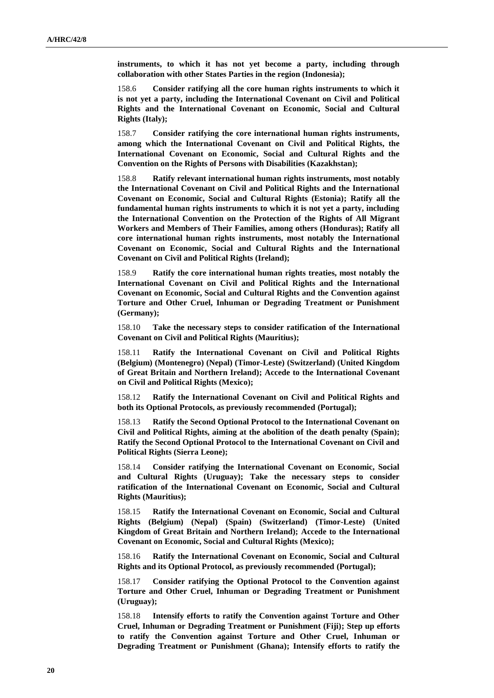**instruments, to which it has not yet become a party, including through collaboration with other States Parties in the region (Indonesia);**

158.6 **Consider ratifying all the core human rights instruments to which it is not yet a party, including the International Covenant on Civil and Political Rights and the International Covenant on Economic, Social and Cultural Rights (Italy);**

158.7 **Consider ratifying the core international human rights instruments, among which the International Covenant on Civil and Political Rights, the International Covenant on Economic, Social and Cultural Rights and the Convention on the Rights of Persons with Disabilities (Kazakhstan);**

158.8 **Ratify relevant international human rights instruments, most notably the International Covenant on Civil and Political Rights and the International Covenant on Economic, Social and Cultural Rights (Estonia); Ratify all the fundamental human rights instruments to which it is not yet a party, including the International Convention on the Protection of the Rights of All Migrant Workers and Members of Their Families, among others (Honduras); Ratify all core international human rights instruments, most notably the International Covenant on Economic, Social and Cultural Rights and the International Covenant on Civil and Political Rights (Ireland);**

158.9 **Ratify the core international human rights treaties, most notably the International Covenant on Civil and Political Rights and the International Covenant on Economic, Social and Cultural Rights and the Convention against Torture and Other Cruel, Inhuman or Degrading Treatment or Punishment (Germany);**

158.10 **Take the necessary steps to consider ratification of the International Covenant on Civil and Political Rights (Mauritius);**

158.11 **Ratify the International Covenant on Civil and Political Rights (Belgium) (Montenegro) (Nepal) (Timor-Leste) (Switzerland) (United Kingdom of Great Britain and Northern Ireland); Accede to the International Covenant on Civil and Political Rights (Mexico);**

158.12 **Ratify the International Covenant on Civil and Political Rights and both its Optional Protocols, as previously recommended (Portugal);**

158.13 **Ratify the Second Optional Protocol to the International Covenant on Civil and Political Rights, aiming at the abolition of the death penalty (Spain); Ratify the Second Optional Protocol to the International Covenant on Civil and Political Rights (Sierra Leone);**

158.14 **Consider ratifying the International Covenant on Economic, Social and Cultural Rights (Uruguay); Take the necessary steps to consider ratification of the International Covenant on Economic, Social and Cultural Rights (Mauritius);**

158.15 **Ratify the International Covenant on Economic, Social and Cultural Rights (Belgium) (Nepal) (Spain) (Switzerland) (Timor-Leste) (United Kingdom of Great Britain and Northern Ireland); Accede to the International Covenant on Economic, Social and Cultural Rights (Mexico);**

158.16 **Ratify the International Covenant on Economic, Social and Cultural Rights and its Optional Protocol, as previously recommended (Portugal);**

158.17 **Consider ratifying the Optional Protocol to the Convention against Torture and Other Cruel, Inhuman or Degrading Treatment or Punishment (Uruguay);**

158.18 **Intensify efforts to ratify the Convention against Torture and Other Cruel, Inhuman or Degrading Treatment or Punishment (Fiji); Step up efforts to ratify the Convention against Torture and Other Cruel, Inhuman or Degrading Treatment or Punishment (Ghana); Intensify efforts to ratify the**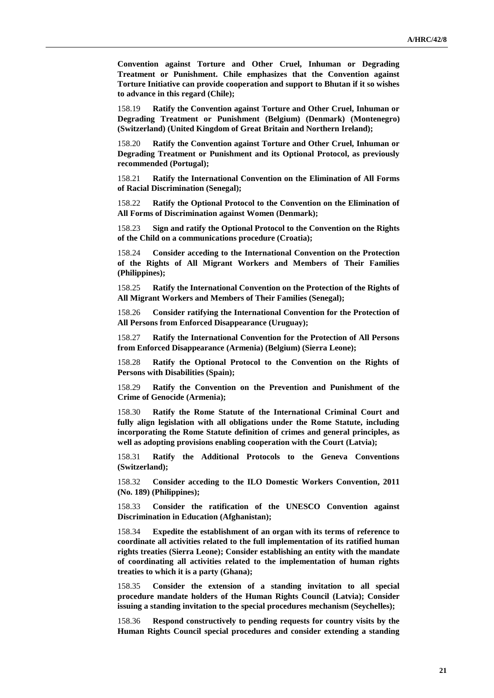**Convention against Torture and Other Cruel, Inhuman or Degrading Treatment or Punishment. Chile emphasizes that the Convention against Torture Initiative can provide cooperation and support to Bhutan if it so wishes to advance in this regard (Chile);**

158.19 **Ratify the Convention against Torture and Other Cruel, Inhuman or Degrading Treatment or Punishment (Belgium) (Denmark) (Montenegro) (Switzerland) (United Kingdom of Great Britain and Northern Ireland);**

158.20 **Ratify the Convention against Torture and Other Cruel, Inhuman or Degrading Treatment or Punishment and its Optional Protocol, as previously recommended (Portugal);**

158.21 **Ratify the International Convention on the Elimination of All Forms of Racial Discrimination (Senegal);**

158.22 **Ratify the Optional Protocol to the Convention on the Elimination of All Forms of Discrimination against Women (Denmark);**

158.23 **Sign and ratify the Optional Protocol to the Convention on the Rights of the Child on a communications procedure (Croatia);**

158.24 **Consider acceding to the International Convention on the Protection of the Rights of All Migrant Workers and Members of Their Families (Philippines);**

158.25 **Ratify the International Convention on the Protection of the Rights of All Migrant Workers and Members of Their Families (Senegal);**

158.26 **Consider ratifying the International Convention for the Protection of All Persons from Enforced Disappearance (Uruguay);**

158.27 **Ratify the International Convention for the Protection of All Persons from Enforced Disappearance (Armenia) (Belgium) (Sierra Leone);**

158.28 **Ratify the Optional Protocol to the Convention on the Rights of Persons with Disabilities (Spain);**

158.29 **Ratify the Convention on the Prevention and Punishment of the Crime of Genocide (Armenia);**

158.30 **Ratify the Rome Statute of the International Criminal Court and fully align legislation with all obligations under the Rome Statute, including incorporating the Rome Statute definition of crimes and general principles, as well as adopting provisions enabling cooperation with the Court (Latvia);**

158.31 **Ratify the Additional Protocols to the Geneva Conventions (Switzerland);**

158.32 **Consider acceding to the ILO Domestic Workers Convention, 2011 (No. 189) (Philippines);**

158.33 **Consider the ratification of the UNESCO Convention against Discrimination in Education (Afghanistan);**

158.34 **Expedite the establishment of an organ with its terms of reference to coordinate all activities related to the full implementation of its ratified human rights treaties (Sierra Leone); Consider establishing an entity with the mandate of coordinating all activities related to the implementation of human rights treaties to which it is a party (Ghana);**

158.35 **Consider the extension of a standing invitation to all special procedure mandate holders of the Human Rights Council (Latvia); Consider issuing a standing invitation to the special procedures mechanism (Seychelles);**

158.36 **Respond constructively to pending requests for country visits by the Human Rights Council special procedures and consider extending a standing**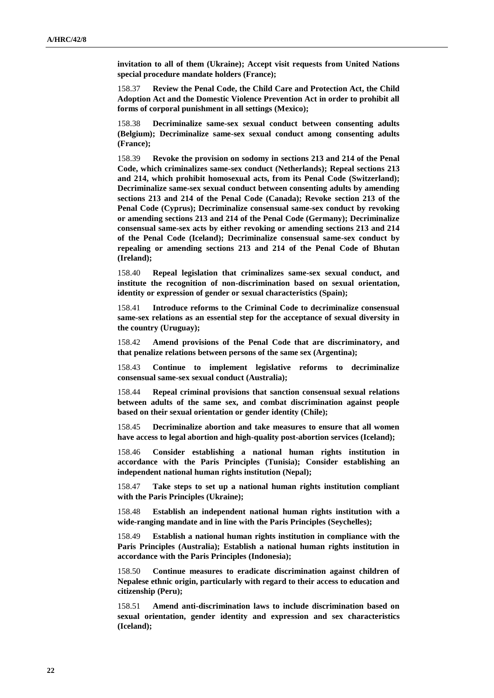**invitation to all of them (Ukraine); Accept visit requests from United Nations special procedure mandate holders (France);**

158.37 **Review the Penal Code, the Child Care and Protection Act, the Child Adoption Act and the Domestic Violence Prevention Act in order to prohibit all forms of corporal punishment in all settings (Mexico);**

158.38 **Decriminalize same-sex sexual conduct between consenting adults (Belgium); Decriminalize same-sex sexual conduct among consenting adults (France);**

158.39 **Revoke the provision on sodomy in sections 213 and 214 of the Penal Code, which criminalizes same-sex conduct (Netherlands); Repeal sections 213 and 214, which prohibit homosexual acts, from its Penal Code (Switzerland); Decriminalize same-sex sexual conduct between consenting adults by amending sections 213 and 214 of the Penal Code (Canada); Revoke section 213 of the Penal Code (Cyprus); Decriminalize consensual same-sex conduct by revoking or amending sections 213 and 214 of the Penal Code (Germany); Decriminalize consensual same-sex acts by either revoking or amending sections 213 and 214 of the Penal Code (Iceland); Decriminalize consensual same-sex conduct by repealing or amending sections 213 and 214 of the Penal Code of Bhutan (Ireland);**

158.40 **Repeal legislation that criminalizes same-sex sexual conduct, and institute the recognition of non-discrimination based on sexual orientation, identity or expression of gender or sexual characteristics (Spain);**

158.41 **Introduce reforms to the Criminal Code to decriminalize consensual same-sex relations as an essential step for the acceptance of sexual diversity in the country (Uruguay);**

158.42 **Amend provisions of the Penal Code that are discriminatory, and that penalize relations between persons of the same sex (Argentina);**

158.43 **Continue to implement legislative reforms to decriminalize consensual same-sex sexual conduct (Australia);**

158.44 **Repeal criminal provisions that sanction consensual sexual relations between adults of the same sex, and combat discrimination against people based on their sexual orientation or gender identity (Chile);**

158.45 **Decriminalize abortion and take measures to ensure that all women have access to legal abortion and high-quality post-abortion services (Iceland);**

158.46 **Consider establishing a national human rights institution in accordance with the Paris Principles (Tunisia); Consider establishing an independent national human rights institution (Nepal);**

158.47 **Take steps to set up a national human rights institution compliant with the Paris Principles (Ukraine);**

158.48 **Establish an independent national human rights institution with a wide-ranging mandate and in line with the Paris Principles (Seychelles);**

158.49 **Establish a national human rights institution in compliance with the Paris Principles (Australia); Establish a national human rights institution in accordance with the Paris Principles (Indonesia);**

158.50 **Continue measures to eradicate discrimination against children of Nepalese ethnic origin, particularly with regard to their access to education and citizenship (Peru);**

158.51 **Amend anti-discrimination laws to include discrimination based on sexual orientation, gender identity and expression and sex characteristics (Iceland);**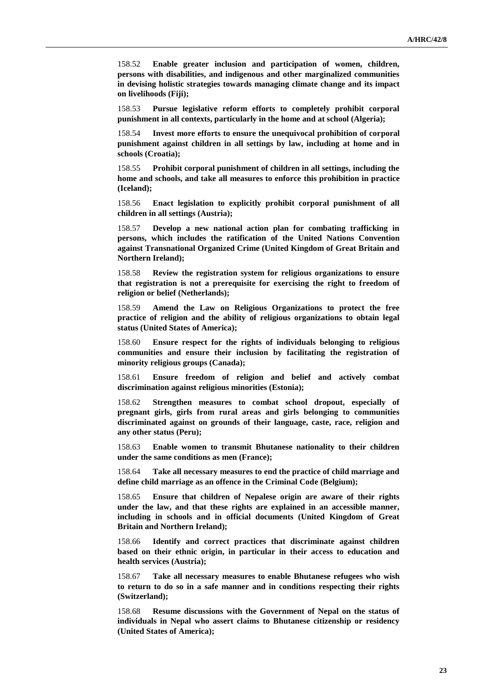158.52 **Enable greater inclusion and participation of women, children, persons with disabilities, and indigenous and other marginalized communities in devising holistic strategies towards managing climate change and its impact on livelihoods (Fiji);**

158.53 **Pursue legislative reform efforts to completely prohibit corporal punishment in all contexts, particularly in the home and at school (Algeria);**

158.54 **Invest more efforts to ensure the unequivocal prohibition of corporal punishment against children in all settings by law, including at home and in schools (Croatia);**

158.55 **Prohibit corporal punishment of children in all settings, including the home and schools, and take all measures to enforce this prohibition in practice (Iceland);** 

158.56 **Enact legislation to explicitly prohibit corporal punishment of all children in all settings (Austria);**

158.57 **Develop a new national action plan for combating trafficking in persons, which includes the ratification of the United Nations Convention against Transnational Organized Crime (United Kingdom of Great Britain and Northern Ireland);**

158.58 **Review the registration system for religious organizations to ensure that registration is not a prerequisite for exercising the right to freedom of religion or belief (Netherlands);**

158.59 **Amend the Law on Religious Organizations to protect the free practice of religion and the ability of religious organizations to obtain legal status (United States of America);**

158.60 **Ensure respect for the rights of individuals belonging to religious communities and ensure their inclusion by facilitating the registration of minority religious groups (Canada);**

158.61 **Ensure freedom of religion and belief and actively combat discrimination against religious minorities (Estonia);**

158.62 **Strengthen measures to combat school dropout, especially of pregnant girls, girls from rural areas and girls belonging to communities discriminated against on grounds of their language, caste, race, religion and any other status (Peru);**

158.63 **Enable women to transmit Bhutanese nationality to their children under the same conditions as men (France);**

158.64 **Take all necessary measures to end the practice of child marriage and define child marriage as an offence in the Criminal Code (Belgium);**

158.65 **Ensure that children of Nepalese origin are aware of their rights under the law, and that these rights are explained in an accessible manner, including in schools and in official documents (United Kingdom of Great Britain and Northern Ireland);**

158.66 **Identify and correct practices that discriminate against children based on their ethnic origin, in particular in their access to education and health services (Austria);**

Take all necessary measures to enable Bhutanese refugees who wish **to return to do so in a safe manner and in conditions respecting their rights (Switzerland);**

158.68 **Resume discussions with the Government of Nepal on the status of individuals in Nepal who assert claims to Bhutanese citizenship or residency (United States of America);**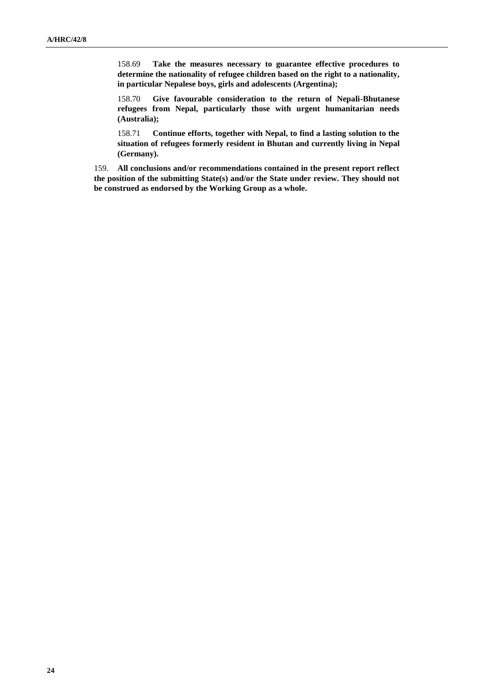158.69 **Take the measures necessary to guarantee effective procedures to determine the nationality of refugee children based on the right to a nationality, in particular Nepalese boys, girls and adolescents (Argentina);**

158.70 **Give favourable consideration to the return of Nepali-Bhutanese refugees from Nepal, particularly those with urgent humanitarian needs (Australia);**

158.71 **Continue efforts, together with Nepal, to find a lasting solution to the situation of refugees formerly resident in Bhutan and currently living in Nepal (Germany).**

159. **All conclusions and/or recommendations contained in the present report reflect the position of the submitting State(s) and/or the State under review. They should not be construed as endorsed by the Working Group as a whole.**